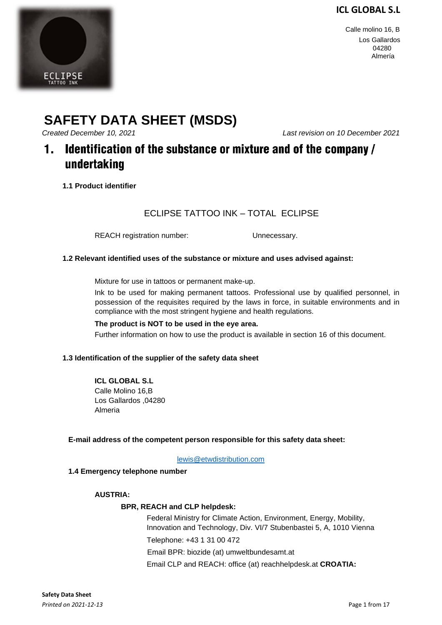Calle molino 16, B Los Gallardos 04280 Almería

# **SAFETY DATA SHEET (MSDS)**

*Created December 10, 2021 Last revision on 10 December 2021* 

### Identification of the substance or mixture and of the company /  $\mathbf 1$ . undertaking

**1.1 Product identifier** 

### ECLIPSE TATTOO INK – TOTAL ECLIPSE

REACH registration number: Unnecessary.

#### **1.2 Relevant identified uses of the substance or mixture and uses advised against:**

Mixture for use in tattoos or permanent make-up.

Ink to be used for making permanent tattoos. Professional use by qualified personnel, in possession of the requisites required by the laws in force, in suitable environments and in compliance with the most stringent hygiene and health regulations.

#### **The product is NOT to be used in the eye area.**

Further information on how to use the product is available in section 16 of this document.

#### **1.3 Identification of the supplier of the safety data sheet**

**ICL GLOBAL S.L**  Calle Molino 16,B Los Gallardos ,04280 Almeria

#### **E-mail address of the competent person responsible for this safety data sheet:**

lewis@etwdistribution.com

#### **1.4 Emergency telephone number**

#### **AUSTRIA:**

#### **BPR, REACH and CLP helpdesk:**

Federal Ministry for Climate Action, Environment, Energy, Mobility, Innovation and Technology, Div. VI/7 Stubenbastei 5, A, 1010 Vienna Telephone: +43 1 31 00 472 Email BPR: biozide (at) umweltbundesamt.at

Email CLP and REACH: office (at) reachhelpdesk.at **CROATIA:** 

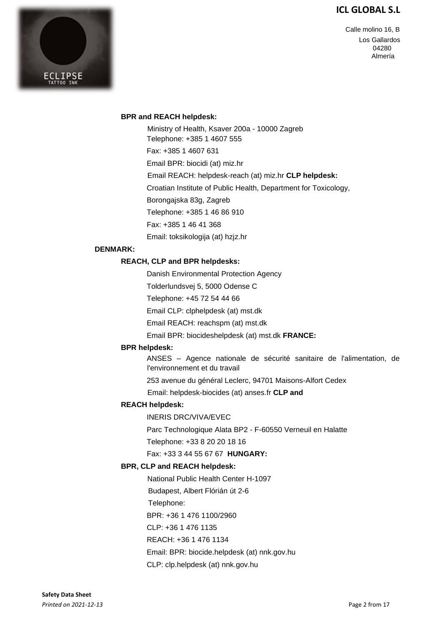

Calle molino 16, B Los Gallardos 04280 Almería

#### **BPR and REACH helpdesk:**

Ministry of Health, Ksaver 200a - 10000 Zagreb Telephone: +385 1 4607 555 Fax: +385 1 4607 631 Email BPR: biocidi (at) miz.hr Email REACH: helpdesk-reach (at) miz.hr **CLP helpdesk:**  Croatian Institute of Public Health, Department for Toxicology, Borongajska 83g, Zagreb Telephone: +385 1 46 86 910 Fax: +385 1 46 41 368 Email: toksikologija (at) hzjz.hr

#### **DENMARK:**

#### **REACH, CLP and BPR helpdesks:**

Danish Environmental Protection Agency

Tolderlundsvej 5, 5000 Odense C

Telephone: +45 72 54 44 66

Email CLP: clphelpdesk (at) mst.dk

Email REACH: reachspm (at) mst.dk

Email BPR: biocideshelpdesk (at) mst.dk **FRANCE:** 

#### **BPR helpdesk:**

ANSES – Agence nationale de sécurité sanitaire de l'alimentation, de l'environnement et du travail

253 avenue du général Leclerc, 94701 Maisons-Alfort Cedex

Email: helpdesk-biocides (at) anses.fr **CLP and** 

#### **REACH helpdesk:**

INERIS DRC/VIVA/EVEC

Parc Technologique Alata BP2 - F-60550 Verneuil en Halatte

Telephone: +33 8 20 20 18 16

Fax: +33 3 44 55 67 67 **HUNGARY:** 

#### **BPR, CLP and REACH helpdesk:**

National Public Health Center H-1097

Budapest, Albert Flórián út 2-6

Telephone:

BPR: +36 1 476 1100/2960

CLP: +36 1 476 1135

REACH: +36 1 476 1134

Email: BPR: biocide.helpdesk (at) nnk.gov.hu

CLP: clp.helpdesk (at) nnk.gov.hu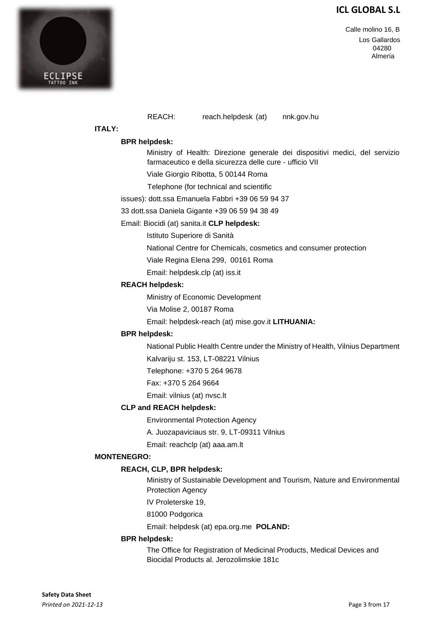Calle molino 16, B Los Gallardos 04280 Almería



REACH: reach.helpdesk (at) nnk.gov.hu

#### **ITALY:**

#### **BPR helpdesk:**

Ministry of Health: Direzione generale dei dispositivi medici, del servizio farmaceutico e della sicurezza delle cure - ufficio VII

Viale Giorgio Ribotta, 5 00144 Roma

Telephone (for technical and scientific

issues): dott.ssa Emanuela Fabbri +39 06 59 94 37

33 dott.ssa Daniela Gigante +39 06 59 94 38 49

#### Email: Biocidi (at) sanita.it **CLP helpdesk:**

Istituto Superiore di Sanità

National Centre for Chemicals, cosmetics and consumer protection

Viale Regina Elena 299, 00161 Roma

Email: helpdesk.clp (at) iss.it

#### **REACH helpdesk:**

Ministry of Economic Development

Via Molise 2, 00187 Roma

Email: helpdesk-reach (at) mise.gov.it **LITHUANIA:** 

#### **BPR helpdesk:**

National Public Health Centre under the Ministry of Health, Vilnius Department

Kalvariju st. 153, LT-08221 Vilnius

Telephone: +370 5 264 9678

Fax: +370 5 264 9664

Email: vilnius (at) nvsc.lt

#### **CLP and REACH helpdesk:**

Environmental Protection Agency

A. Juozapaviciaus str. 9, LT-09311 Vilnius

Email: reachclp (at) aaa.am.lt

#### **MONTENEGRO:**

#### **REACH, CLP, BPR helpdesk:**

Ministry of Sustainable Development and Tourism, Nature and Environmental Protection Agency

IV Proleterske 19,

81000 Podgorica

Email: helpdesk (at) epa.org.me **POLAND:** 

#### **BPR helpdesk:**

The Office for Registration of Medicinal Products, Medical Devices and Biocidal Products al. Jerozolimskie 181c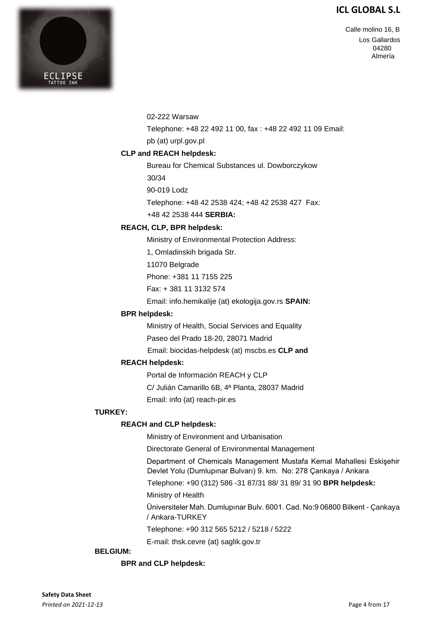Calle molino 16, B Los Gallardos 04280 Almería



02-222 Warsaw

Telephone: +48 22 492 11 00, fax : +48 22 492 11 09 Email:

pb (at) urpl.gov.pl

### **CLP and REACH helpdesk:**

Bureau for Chemical Substances ul. Dowborczykow

30/34

90-019 Lodz

Telephone: +48 42 2538 424; +48 42 2538 427 Fax:

+48 42 2538 444 **SERBIA:** 

#### **REACH, CLP, BPR helpdesk:**

Ministry of Environmental Protection Address:

1, Omladinskih brigada Str.

11070 Belgrade

Phone: +381 11 7155 225

Fax: + 381 11 3132 574

Email: info.hemikalije (at) ekologija.gov.rs **SPAIN:** 

#### **BPR helpdesk:**

Ministry of Health, Social Services and Equality

Paseo del Prado 18-20, 28071 Madrid

Email: biocidas-helpdesk (at) mscbs.es **CLP and** 

### **REACH helpdesk:**

Portal de Información REACH y CLP

C/ Julián Camarillo 6B, 4ª Planta, 28037 Madrid

Email: info (at) reach-pir.es

#### **TURKEY:**

### **REACH and CLP helpdesk:**

Ministry of Environment and Urbanisation

Directorate General of Environmental Management

Department of Chemicals Management Mustafa Kemal Mahallesi Eskişehir Devlet Yolu (Dumlupınar Bulvarı) 9. km. No: 278 Çankaya / Ankara

Telephone: +90 (312) 586 -31 87/31 88/ 31 89/ 31 90 **BPR helpdesk:** 

Ministry of Health

Üniversiteler Mah. Dumlupınar Bulv. 6001. Cad. No:9 06800 Bilkent - Çankaya / Ankara-TURKEY

Telephone: +90 312 565 5212 / 5218 / 5222

E-mail: thsk.cevre (at) saglik.gov.tr

### **BELGIUM:**

### **BPR and CLP helpdesk:**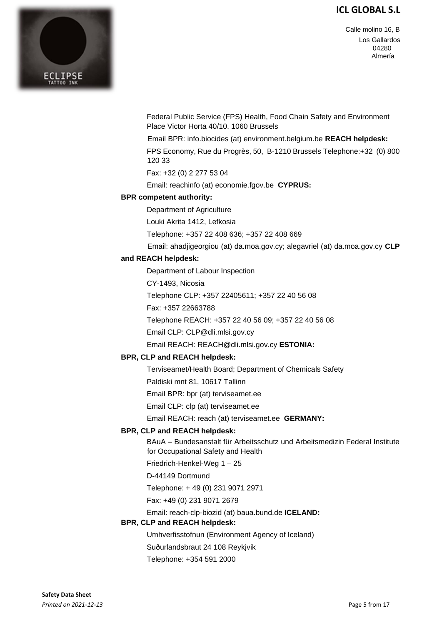



Federal Public Service (FPS) Health, Food Chain Safety and Environment Place Victor Horta 40/10, 1060 Brussels

Email BPR: info.biocides (at) environment.belgium.be **REACH helpdesk:** 

FPS Economy, Rue du Progrès, 50, B-1210 Brussels Telephone:+32 (0) 800 120 33

Fax: +32 (0) 2 277 53 04

Email: reachinfo (at) economie.fgov.be **CYPRUS:** 

#### **BPR competent authority:**

Department of Agriculture

Louki Akrita 1412, Lefkosia

Telephone: +357 22 408 636; +357 22 408 669

Email: ahadjigeorgiou (at) da.moa.gov.cy; alegavriel (at) da.moa.gov.cy **CLP**

#### **and REACH helpdesk:**

Department of Labour Inspection

CY-1493, Nicosia

Telephone CLP: +357 22405611; +357 22 40 56 08

Fax: +357 22663788

Telephone REACH: +357 22 40 56 09; +357 22 40 56 08

Email CLP: CLP@dli.mlsi.gov.cy

Email REACH: REACH@dli.mlsi.gov.cy **ESTONIA:** 

#### **BPR, CLP and REACH helpdesk:**

Terviseamet/Health Board; Department of Chemicals Safety

Paldiski mnt 81, 10617 Tallinn

Email BPR: bpr (at) terviseamet.ee

Email CLP: clp (at) terviseamet.ee

Email REACH: reach (at) terviseamet.ee **GERMANY:** 

#### **BPR, CLP and REACH helpdesk:**

BAuA – Bundesanstalt für Arbeitsschutz und Arbeitsmedizin Federal Institute for Occupational Safety and Health

Friedrich-Henkel-Weg 1 – 25

D-44149 Dortmund

Telephone: + 49 (0) 231 9071 2971

Fax: +49 (0) 231 9071 2679

Email: reach-clp-biozid (at) baua.bund.de **ICELAND:** 

#### **BPR, CLP and REACH helpdesk:**

Umhverfisstofnun (Environment Agency of Iceland)

Suðurlandsbraut 24 108 Reykjvik

Telephone: +354 591 2000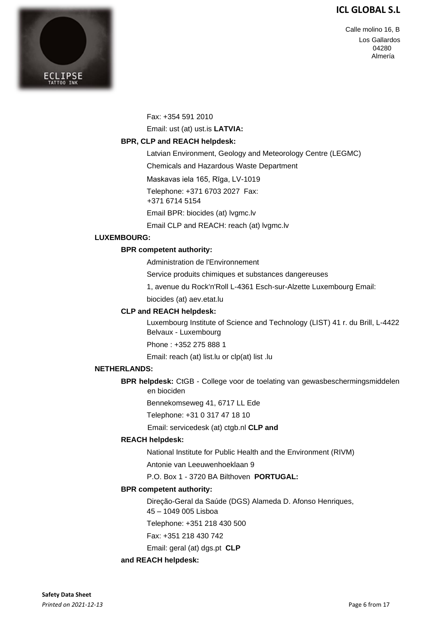

Calle molino 16, B Los Gallardos 04280 Almería

Fax: +354 591 2010

Email: ust (at) ust.is **LATVIA:** 

#### **BPR, CLP and REACH helpdesk:**

Latvian Environment, Geology and Meteorology Centre (LEGMC)

Chemicals and Hazardous Waste Department

Maskavas iela 165, Rīga, LV-1019

Telephone: +371 6703 2027 Fax:

+371 6714 5154

Email BPR: biocides (at) lvgmc.lv

Email CLP and REACH: reach (at) lvgmc.lv

#### **LUXEMBOURG:**

#### **BPR competent authority:**

Administration de l'Environnement

Service produits chimiques et substances dangereuses

1, avenue du Rock'n'Roll L-4361 Esch-sur-Alzette Luxembourg Email:

biocides (at) aev.etat.lu

#### **CLP and REACH helpdesk:**

Luxembourg Institute of Science and Technology (LIST) 41 r. du Brill, L-4422 Belvaux - Luxembourg

Phone : +352 275 888 1

Email: reach (at) list.lu or clp(at) list .lu

#### **NETHERLANDS:**

**BPR helpdesk:** CtGB - College voor de toelating van gewasbeschermingsmiddelen en biociden

Bennekomseweg 41, 6717 LL Ede

Telephone: +31 0 317 47 18 10

Email: servicedesk (at) ctgb.nl **CLP and** 

#### **REACH helpdesk:**

National Institute for Public Health and the Environment (RIVM)

Antonie van Leeuwenhoeklaan 9

P.O. Box 1 - 3720 BA Bilthoven **PORTUGAL:** 

#### **BPR competent authority:**

Direção-Geral da Saúde (DGS) Alameda D. Afonso Henriques,

45 – 1049 005 Lisboa

Telephone: +351 218 430 500

Fax: +351 218 430 742

Email: geral (at) dgs.pt **CLP** 

#### **and REACH helpdesk:**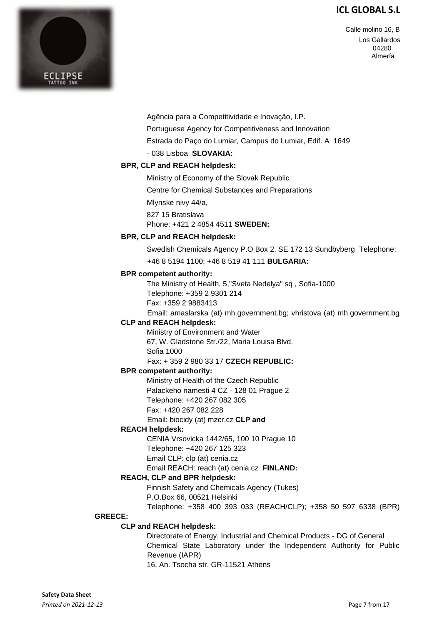

Calle molino 16, B Los Gallardos 04280 Almería

Agência para a Competitividade e Inovação, I.P.

Portuguese Agency for Competitiveness and Innovation

Estrada do Paço do Lumiar, Campus do Lumiar, Edif. A 1649

- 038 Lisboa **SLOVAKIA:** 

#### **BPR, CLP and REACH helpdesk:**

Ministry of Economy of the Slovak Republic

Centre for Chemical Substances and Preparations

Mlynske nivy 44/a,

827 15 Bratislava

Phone: +421 2 4854 4511 **SWEDEN:** 

#### **BPR, CLP and REACH helpdesk:**

Swedish Chemicals Agency P.O Box 2, SE 172 13 Sundbyberg Telephone:

+46 8 5194 1100; +46 8 519 41 111 **BULGARIA:** 

#### **BPR competent authority:**

The Ministry of Health, 5,"Sveta Nedelya" sq , Sofia-1000 Telephone: +359 2 9301 214 Fax: +359 2 9883413

Email: amaslarska (at) mh.government.bg; vhristova (at) mh.government.bg

#### **CLP and REACH helpdesk:**

Ministry of Environment and Water 67, W. Gladstone Str./22, Maria Louisa Blvd. Sofia 1000

Fax: + 359 2 980 33 17 **CZECH REPUBLIC:** 

#### **BPR competent authority:**

Ministry of Health of the Czech Republic Palackeho namesti 4 CZ - 128 01 Prague 2 Telephone: +420 267 082 305

- 
- Fax: +420 267 082 228

Email: biocidy (at) mzcr.cz **CLP and** 

#### **REACH helpdesk:**

CENIA Vrsovicka 1442/65, 100 10 Prague 10

Telephone: +420 267 125 323 Email CLP: clp (at) cenia.cz

### Email REACH: reach (at) cenia.cz **FINLAND:**

### **REACH, CLP and BPR helpdesk:**

Finnish Safety and Chemicals Agency (Tukes)

P.O.Box 66, 00521 Helsinki

Telephone: +358 400 393 033 (REACH/CLP); +358 50 597 6338 (BPR)

#### **GREECE:**

#### **CLP and REACH helpdesk:**

Directorate of Energy, Industrial and Chemical Products - DG of General Chemical State Laboratory under the Independent Authority for Public Revenue (IAPR)

16, An. Tsocha str. GR-11521 Athens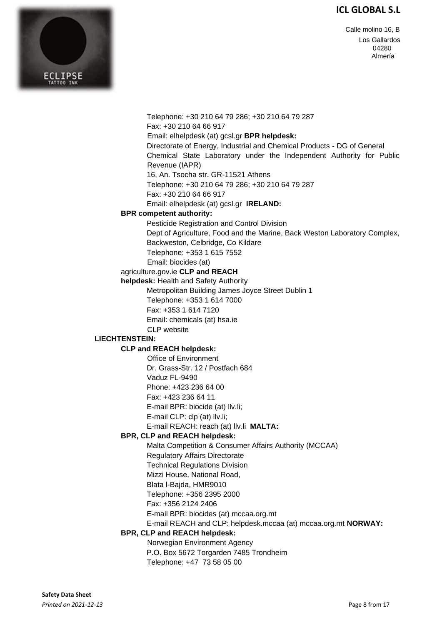Calle molino 16, B Los Gallardos 04280 Almería



Telephone: +30 210 64 79 286; +30 210 64 79 287 Fax: +30 210 64 66 917 Email: elhelpdesk (at) gcsl.gr **BPR helpdesk:**  Directorate of Energy, Industrial and Chemical Products - DG of General Chemical State Laboratory under the Independent Authority for Public Revenue (IAPR) 16, An. Tsocha str. GR-11521 Athens Telephone: +30 210 64 79 286; +30 210 64 79 287 Fax: +30 210 64 66 917 Email: elhelpdesk (at) gcsl.gr **IRELAND: BPR competent authority:**  Pesticide Registration and Control Division Dept of Agriculture, Food and the Marine, Back Weston Laboratory Complex, Backweston, Celbridge, Co Kildare Telephone: +353 1 615 7552 Email: biocides (at) agriculture.gov.ie **CLP and REACH helpdesk:** Health and Safety Authority Metropolitan Building James Joyce Street Dublin 1 Telephone: +353 1 614 7000 Fax: +353 1 614 7120 Email: chemicals (at) hsa.ie CLP website **LIECHTENSTEIN: CLP and REACH helpdesk:**  Office of Environment Dr. Grass-Str. 12 / Postfach 684 Vaduz FL-9490 Phone: +423 236 64 00 Fax: +423 236 64 11 E-mail BPR: biocide (at) llv.li; E-mail CLP: clp (at) llv.li; E-mail REACH: reach (at) llv.li **MALTA: BPR, CLP and REACH helpdesk:**  Malta Competition & Consumer Affairs Authority (MCCAA) Regulatory Affairs Directorate Technical Regulations Division Mizzi House, National Road, Blata l-Bajda, HMR9010 Telephone: +356 2395 2000 Fax: +356 2124 2406 E-mail BPR: biocides (at) mccaa.org.mt E-mail REACH and CLP: helpdesk.mccaa (at) mccaa.org.mt **NORWAY: BPR, CLP and REACH helpdesk:**  Norwegian Environment Agency P.O. Box 5672 Torgarden 7485 Trondheim Telephone: +47 73 58 05 00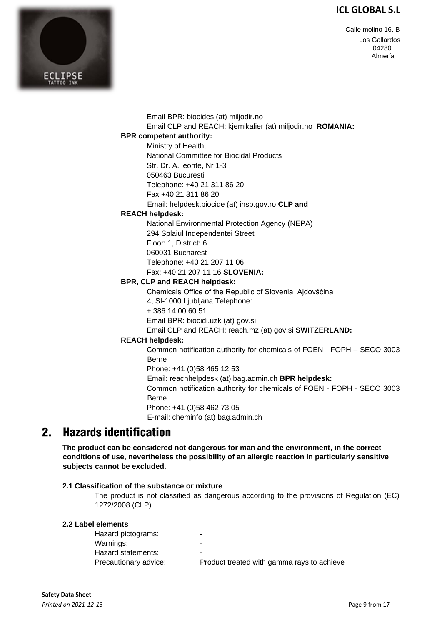Calle molino 16, B Los Gallardos 04280 Almería



Email BPR: biocides (at) miljodir.no Email CLP and REACH: kjemikalier (at) miljodir.no **ROMANIA:** 

### **BPR competent authority:**

Ministry of Health, National Committee for Biocidal Products Str. Dr. A. leonte, Nr 1-3 050463 Bucuresti Telephone: +40 21 311 86 20 Fax +40 21 311 86 20

Email: helpdesk.biocide (at) insp.gov.ro **CLP and** 

#### **REACH helpdesk:**

National Environmental Protection Agency (NEPA) 294 Splaiul Independentei Street Floor: 1, District: 6 060031 Bucharest Telephone: +40 21 207 11 06 Fax: +40 21 207 11 16 **SLOVENIA:** 

#### **BPR, CLP and REACH helpdesk:**

Chemicals Office of the Republic of Slovenia Ajdovščina

4, SI-1000 Ljubljana Telephone:

+ 386 14 00 60 51

Email BPR: biocidi.uzk (at) gov.si

Email CLP and REACH: reach.mz (at) gov.si **SWITZERLAND:** 

#### **REACH helpdesk:**

Common notification authority for chemicals of FOEN - FOPH – SECO 3003 Berne

Phone: +41 (0)58 465 12 53

Email: reachhelpdesk (at) bag.admin.ch **BPR helpdesk:** 

Common notification authority for chemicals of FOEN - FOPH - SECO 3003 Berne

Phone: +41 (0)58 462 73 05

E-mail: cheminfo (at) bag.admin.ch

#### $2<sub>-</sub>$ **Hazards identification**

**The product can be considered not dangerous for man and the environment, in the correct conditions of use, nevertheless the possibility of an allergic reaction in particularly sensitive subjects cannot be excluded.** 

#### **2.1 Classification of the substance or mixture**

The product is not classified as dangerous according to the provisions of Regulation (EC) 1272/2008 (CLP).

#### **2.2 Label elements**

Hazard pictograms: Warnings: Hazard statements: Precautionary advice: Product treated with gamma rays to achieve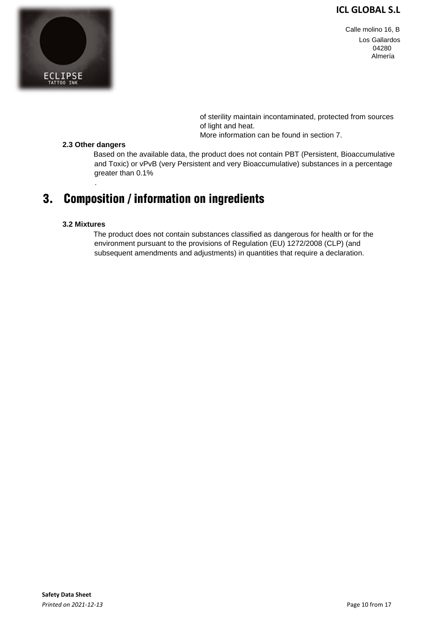

Calle molino 16, B Los Gallardos 04280 Almería

 of sterility maintain incontaminated, protected from sources of light and heat.

More information can be found in section 7.

#### **2.3 Other dangers**

.

Based on the available data, the product does not contain PBT (Persistent, Bioaccumulative and Toxic) or vPvB (very Persistent and very Bioaccumulative) substances in a percentage greater than 0.1%

#### **Composition / information on ingredients**  $3.$

#### **3.2 Mixtures**

The product does not contain substances classified as dangerous for health or for the environment pursuant to the provisions of Regulation (EU) 1272/2008 (CLP) (and subsequent amendments and adjustments) in quantities that require a declaration.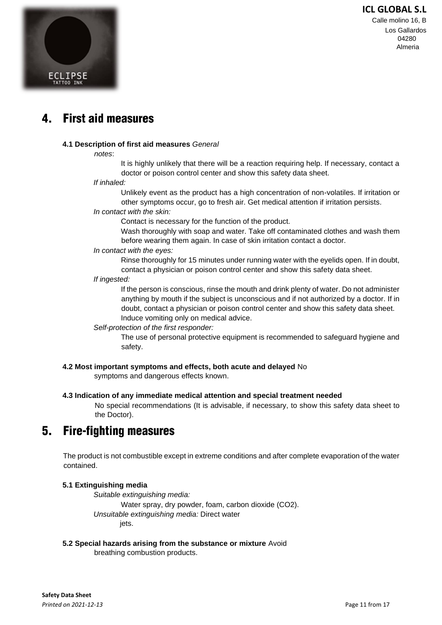Calle molino 16, B Los Gallardos 04280 Almeria



#### $\mathbf{4}$ **First aid measures**

#### **4.1 Description of first aid measures** *General*

#### *notes*:

It is highly unlikely that there will be a reaction requiring help. If necessary, contact a doctor or poison control center and show this safety data sheet.

#### *If inhaled:*

Unlikely event as the product has a high concentration of non-volatiles. If irritation or other symptoms occur, go to fresh air. Get medical attention if irritation persists.

### *In contact with the skin:*

Contact is necessary for the function of the product.

Wash thoroughly with soap and water. Take off contaminated clothes and wash them before wearing them again. In case of skin irritation contact a doctor.

#### *In contact with the eyes:*

Rinse thoroughly for 15 minutes under running water with the eyelids open. If in doubt, contact a physician or poison control center and show this safety data sheet.

#### *If ingested:*

If the person is conscious, rinse the mouth and drink plenty of water. Do not administer anything by mouth if the subject is unconscious and if not authorized by a doctor. If in doubt, contact a physician or poison control center and show this safety data sheet. Induce vomiting only on medical advice.

#### *Self-protection of the first responder:*

The use of personal protective equipment is recommended to safeguard hygiene and safety.

### **4.2 Most important symptoms and effects, both acute and delayed** No

symptoms and dangerous effects known.

#### **4.3 Indication of any immediate medical attention and special treatment needed**

No special recommendations (It is advisable, if necessary, to show this safety data sheet to the Doctor).

#### **Fire-fighting measures** 5.

The product is not combustible except in extreme conditions and after complete evaporation of the water contained.

#### **5.1 Extinguishing media**

*Suitable extinguishing media:* Water spray, dry powder, foam, carbon dioxide (CO2). *Unsuitable extinguishing media:* Direct water jets.

**5.2 Special hazards arising from the substance or mixture** Avoid

breathing combustion products.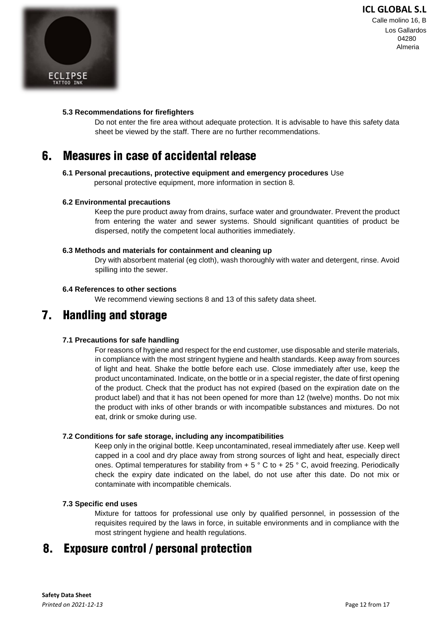

#### **5.3 Recommendations for firefighters**

Do not enter the fire area without adequate protection. It is advisable to have this safety data sheet be viewed by the staff. There are no further recommendations.

#### 6. **Measures in case of accidental release**

# **6.1 Personal precautions, protective equipment and emergency procedures** Use

personal protective equipment, more information in section 8.

#### **6.2 Environmental precautions**

Keep the pure product away from drains, surface water and groundwater. Prevent the product from entering the water and sewer systems. Should significant quantities of product be dispersed, notify the competent local authorities immediately.

#### **6.3 Methods and materials for containment and cleaning up**

Dry with absorbent material (eg cloth), wash thoroughly with water and detergent, rinse. Avoid spilling into the sewer.

#### **6.4 References to other sections**

We recommend viewing sections 8 and 13 of this safety data sheet.

#### **Handling and storage**  $7<sub>-</sub>$

#### **7.1 Precautions for safe handling**

For reasons of hygiene and respect for the end customer, use disposable and sterile materials, in compliance with the most stringent hygiene and health standards. Keep away from sources of light and heat. Shake the bottle before each use. Close immediately after use, keep the product uncontaminated. Indicate, on the bottle or in a special register, the date of first opening of the product. Check that the product has not expired (based on the expiration date on the product label) and that it has not been opened for more than 12 (twelve) months. Do not mix the product with inks of other brands or with incompatible substances and mixtures. Do not eat, drink or smoke during use.

#### **7.2 Conditions for safe storage, including any incompatibilities**

Keep only in the original bottle. Keep uncontaminated, reseal immediately after use. Keep well capped in a cool and dry place away from strong sources of light and heat, especially direct ones. Optimal temperatures for stability from  $+ 5 \degree$  C to  $+ 25 \degree$  C, avoid freezing. Periodically check the expiry date indicated on the label, do not use after this date. Do not mix or contaminate with incompatible chemicals.

#### **7.3 Specific end uses**

Mixture for tattoos for professional use only by qualified personnel, in possession of the requisites required by the laws in force, in suitable environments and in compliance with the most stringent hygiene and health regulations.

#### 8. **Exposure control / personal protection**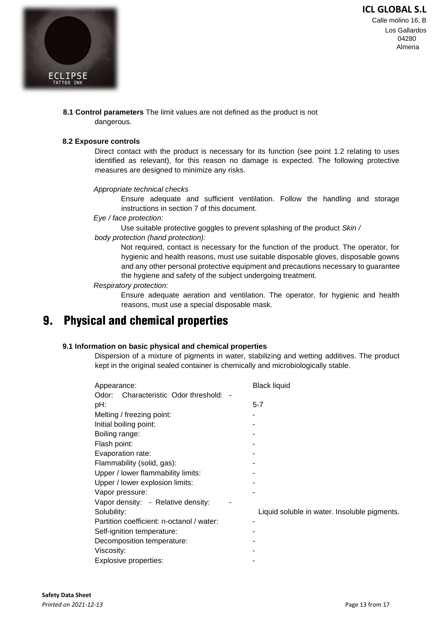

Calle molino 16, B Los Gallardos 04280 Almeria

**8.1 Control parameters** The limit values are not defined as the product is not dangerous.

#### **8.2 Exposure controls**

Direct contact with the product is necessary for its function (see point 1.2 relating to uses identified as relevant), for this reason no damage is expected. The following protective measures are designed to minimize any risks.

#### *Appropriate technical checks*

Ensure adequate and sufficient ventilation. Follow the handling and storage instructions in section 7 of this document.

#### *Eye / face protection:*

Use suitable protective goggles to prevent splashing of the product *Skin /* 

#### *body protection (hand protection):*

Not required, contact is necessary for the function of the product. The operator, for hygienic and health reasons, must use suitable disposable gloves, disposable gowns and any other personal protective equipment and precautions necessary to guarantee the hygiene and safety of the subject undergoing treatment.

#### *Respiratory protection:*

Ensure adequate aeration and ventilation. The operator, for hygienic and health reasons, must use a special disposable mask.

#### **Physical and chemical properties** 9.

#### **9.1 Information on basic physical and chemical properties**

Dispersion of a mixture of pigments in water, stabilizing and wetting additives. The product kept in the original sealed container is chemically and microbiologically stable.

| Appearance:                               | <b>Black liquid</b>                          |
|-------------------------------------------|----------------------------------------------|
| Odor: Characteristic Odor threshold: -    |                                              |
| pH:                                       | $5 - 7$                                      |
| Melting / freezing point:                 |                                              |
| Initial boiling point:                    |                                              |
| Boiling range:                            |                                              |
| Flash point:                              |                                              |
| Evaporation rate:                         |                                              |
| Flammability (solid, gas):                |                                              |
| Upper / lower flammability limits:        |                                              |
| Upper / lower explosion limits:           |                                              |
| Vapor pressure:                           |                                              |
| Vapor density: - Relative density:        |                                              |
| Solubility:                               | Liquid soluble in water. Insoluble pigments. |
| Partition coefficient: n-octanol / water: |                                              |
| Self-ignition temperature:                |                                              |
| Decomposition temperature:                |                                              |
| Viscosity:                                |                                              |
| Explosive properties:                     |                                              |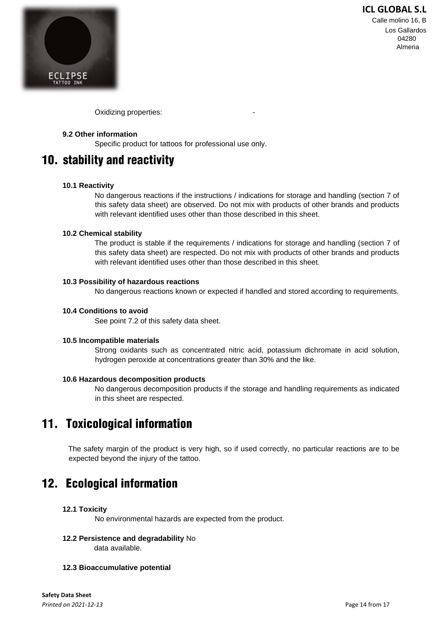

Calle molino 16, B Los Gallardos 04280 Almeria

Oxidizing properties:

#### **9.2 Other information**

Specific product for tattoos for professional use only.

## 10. stability and reactivity

#### **10.1 Reactivity**

No dangerous reactions if the instructions / indications for storage and handling (section 7 of this safety data sheet) are observed. Do not mix with products of other brands and products with relevant identified uses other than those described in this sheet.

#### **10.2 Chemical stability**

The product is stable if the requirements / indications for storage and handling (section 7 of this safety data sheet) are respected. Do not mix with products of other brands and products with relevant identified uses other than those described in this sheet.

#### **10.3 Possibility of hazardous reactions**

No dangerous reactions known or expected if handled and stored according to requirements.

#### **10.4 Conditions to avoid**

See point 7.2 of this safety data sheet.

#### **10.5 Incompatible materials**

Strong oxidants such as concentrated nitric acid, potassium dichromate in acid solution, hydrogen peroxide at concentrations greater than 30% and the like.

#### **10.6 Hazardous decomposition products**

No dangerous decomposition products if the storage and handling requirements as indicated in this sheet are respected.

# 11. Toxicological information

The safety margin of the product is very high, so if used correctly, no particular reactions are to be expected beyond the injury of the tattoo.

## 12. Ecological information

#### **12.1 Toxicity**

No environmental hazards are expected from the product.

- **12.2 Persistence and degradability** No data available.
- **12.3 Bioaccumulative potential**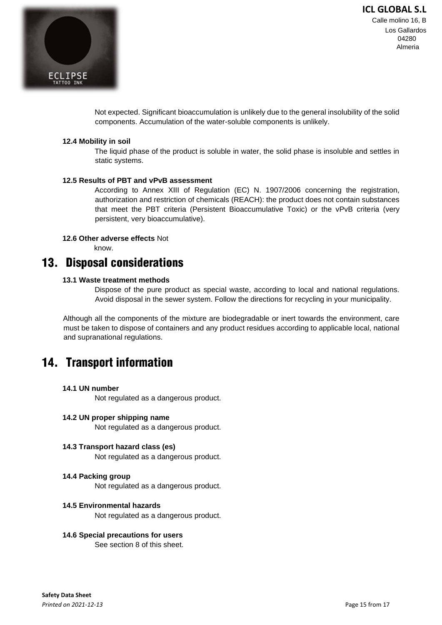

Calle molino 16, B Los Gallardos 04280 Almeria

Not expected. Significant bioaccumulation is unlikely due to the general insolubility of the solid components. Accumulation of the water-soluble components is unlikely.

#### **12.4 Mobility in soil**

The liquid phase of the product is soluble in water, the solid phase is insoluble and settles in static systems.

#### **12.5 Results of PBT and vPvB assessment**

According to Annex XIII of Regulation (EC) N. 1907/2006 concerning the registration, authorization and restriction of chemicals (REACH): the product does not contain substances that meet the PBT criteria (Persistent Bioaccumulative Toxic) or the vPvB criteria (very persistent, very bioaccumulative).

#### **12.6 Other adverse effects** Not

know.

## **13. Disposal considerations**

#### **13.1 Waste treatment methods**

Dispose of the pure product as special waste, according to local and national regulations. Avoid disposal in the sewer system. Follow the directions for recycling in your municipality.

Although all the components of the mixture are biodegradable or inert towards the environment, care must be taken to dispose of containers and any product residues according to applicable local, national and supranational regulations.

## **14. Transport information**

#### **14.1 UN number**

Not regulated as a dangerous product.

#### **14.2 UN proper shipping name**

Not regulated as a dangerous product.

**14.3 Transport hazard class (es)**  Not regulated as a dangerous product.

#### **14.4 Packing group**

Not regulated as a dangerous product.

#### **14.5 Environmental hazards**

Not regulated as a dangerous product.

#### **14.6 Special precautions for users**

See section 8 of this sheet.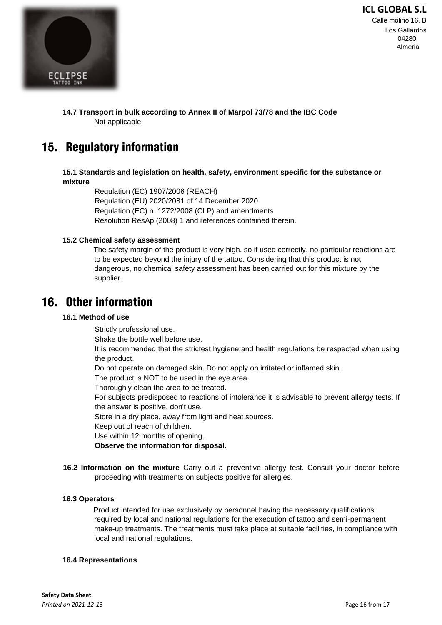Calle molino 16, B Los Gallardos 04280 Almeria



#### **14.7 Transport in bulk according to Annex II of Marpol 73/78 and the IBC Code**  Not applicable.

# 15. Regulatory information

**15.1 Standards and legislation on health, safety, environment specific for the substance or mixture**

Regulation (EC) 1907/2006 (REACH) Regulation (EU) 2020/2081 of 14 December 2020 Regulation (EC) n. 1272/2008 (CLP) and amendments Resolution ResAp (2008) 1 and references contained therein.

#### **15.2 Chemical safety assessment**

The safety margin of the product is very high, so if used correctly, no particular reactions are to be expected beyond the injury of the tattoo. Considering that this product is not dangerous, no chemical safety assessment has been carried out for this mixture by the supplier.

## **16. Other information**

#### **16.1 Method of use**

Strictly professional use.

Shake the bottle well before use.

It is recommended that the strictest hygiene and health regulations be respected when using the product.

Do not operate on damaged skin. Do not apply on irritated or inflamed skin.

The product is NOT to be used in the eye area.

Thoroughly clean the area to be treated.

For subjects predisposed to reactions of intolerance it is advisable to prevent allergy tests. If the answer is positive, don't use.

Store in a dry place, away from light and heat sources.

Keep out of reach of children.

Use within 12 months of opening.

**Observe the information for disposal.** 

**16.2 Information on the mixture** Carry out a preventive allergy test. Consult your doctor before proceeding with treatments on subjects positive for allergies.

#### **16.3 Operators**

Product intended for use exclusively by personnel having the necessary qualifications required by local and national regulations for the execution of tattoo and semi-permanent make-up treatments. The treatments must take place at suitable facilities, in compliance with local and national regulations.

#### **16.4 Representations**